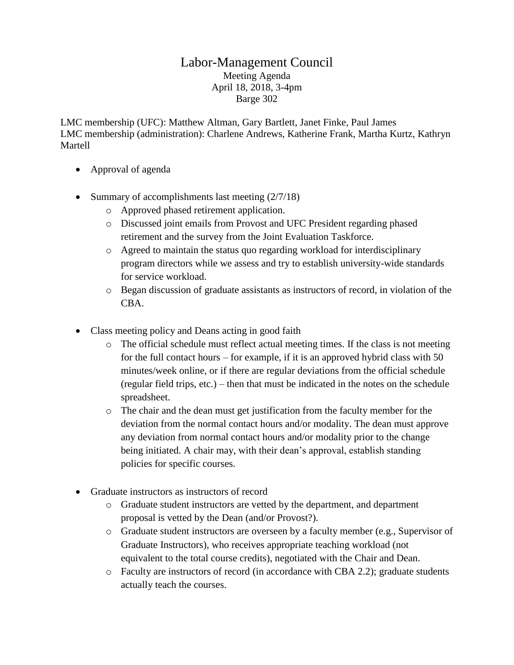## Labor-Management Council Meeting Agenda April 18, 2018, 3-4pm Barge 302

LMC membership (UFC): Matthew Altman, Gary Bartlett, Janet Finke, Paul James LMC membership (administration): Charlene Andrews, Katherine Frank, Martha Kurtz, Kathryn Martell

- Approval of agenda
- Summary of accomplishments last meeting  $(2/7/18)$ 
	- o Approved phased retirement application.
	- o Discussed joint emails from Provost and UFC President regarding phased retirement and the survey from the Joint Evaluation Taskforce.
	- $\circ$  Agreed to maintain the status quo regarding workload for interdisciplinary program directors while we assess and try to establish university-wide standards for service workload.
	- o Began discussion of graduate assistants as instructors of record, in violation of the CBA.
- Class meeting policy and Deans acting in good faith
	- o The official schedule must reflect actual meeting times. If the class is not meeting for the full contact hours – for example, if it is an approved hybrid class with 50 minutes/week online, or if there are regular deviations from the official schedule (regular field trips, etc.) – then that must be indicated in the notes on the schedule spreadsheet.
	- o The chair and the dean must get justification from the faculty member for the deviation from the normal contact hours and/or modality. The dean must approve any deviation from normal contact hours and/or modality prior to the change being initiated. A chair may, with their dean's approval, establish standing policies for specific courses.
- Graduate instructors as instructors of record
	- o Graduate student instructors are vetted by the department, and department proposal is vetted by the Dean (and/or Provost?).
	- o Graduate student instructors are overseen by a faculty member (e.g., Supervisor of Graduate Instructors), who receives appropriate teaching workload (not equivalent to the total course credits), negotiated with the Chair and Dean.
	- o Faculty are instructors of record (in accordance with CBA 2.2); graduate students actually teach the courses.